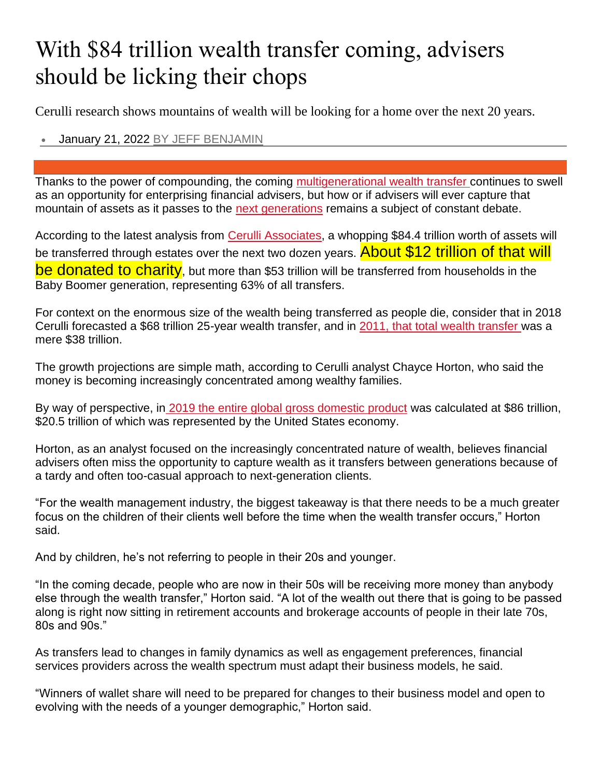## With \$84 trillion wealth transfer coming, advisers should be licking their chops

Cerulli research shows mountains of wealth will be looking for a home over the next 20 years.

• January 21, 2022 [BY JEFF BENJAMIN](https://www.investmentnews.com/author/jbenjamin)

Thanks to the power of compounding, the coming [multigenerational wealth transfer](https://www.investmentnews.com/video/179159) continues to swell as an opportunity for enterprising financial advisers, but how or if advisers will ever capture that mountain of assets as it passes to the [next generations](https://www.investmentnews.com/advisers-have-much-to-learn-about-next-generation-clients-81305) remains a subject of constant debate.

According to the latest analysis from [Cerulli Associates,](https://www.cerulli.com/) a whopping \$84.4 trillion worth of assets will be transferred through estates over the next two dozen years. About \$12 trillion of that will be donated to charity, but more than \$53 trillion will be transferred from households in the Baby Boomer generation, representing 63% of all transfers.

For context on the enormous size of the wealth being transferred as people die, consider that in 2018 Cerulli forecasted a \$68 trillion 25-year wealth transfer, and in [2011, that total wealth transfer](https://www.investmentnews.com/inheritance-anxiety-discussed-36138) was a mere \$38 trillion.

The growth projections are simple math, according to Cerulli analyst Chayce Horton, who said the money is becoming increasingly concentrated among wealthy families.

By way of perspective, in [2019 the entire global gross domestic product](https://www.visualcapitalist.com/the-86-trillion-world-economy-in-one-chart/) was calculated at \$86 trillion, \$20.5 trillion of which was represented by the United States economy.

Horton, as an analyst focused on the increasingly concentrated nature of wealth, believes financial advisers often miss the opportunity to capture wealth as it transfers between generations because of a tardy and often too-casual approach to next-generation clients.

"For the wealth management industry, the biggest takeaway is that there needs to be a much greater focus on the children of their clients well before the time when the wealth transfer occurs," Horton said.

And by children, he's not referring to people in their 20s and younger.

"In the coming decade, people who are now in their 50s will be receiving more money than anybody else through the wealth transfer," Horton said. "A lot of the wealth out there that is going to be passed along is right now sitting in retirement accounts and brokerage accounts of people in their late 70s, 80s and 90s."

As transfers lead to changes in family dynamics as well as engagement preferences, financial services providers across the wealth spectrum must adapt their business models, he said.

"Winners of wallet share will need to be prepared for changes to their business model and open to evolving with the needs of a younger demographic," Horton said.